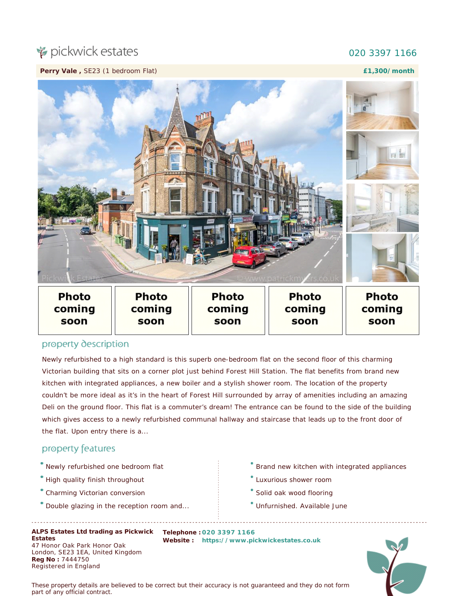## pickwick estates

## 020 3397 1166

**Perry Vale ,** SE23 (1 bedroom Flat)

**£1,300/month**



## property description

Newly refurbished to a high standard is this superb one-bedroom flat on the second floor of this charming Victorian building that sits on a corner plot just behind Forest Hill Station. The flat benefits from brand new kitchen with integrated appliances, a new boiler and a stylish shower room. The location of the property couldn't be more ideal as it's in the heart of Forest Hill surrounded by array of amenities including an amazing Deli on the ground floor. This flat is a commuter's dream! The entrance can be found to the side of the building which gives access to a newly refurbished communal hallway and staircase that leads up to the front door of the flat. Upon entry there is a...

## property features

- Newly refurbished one bedroom flat
- High quality finish throughout
- Charming Victorian conversion
- Double glazing in the reception room and...

**ALPS Estates Ltd trading as Pickwick Telephone : 020 3397 1166 Estates** 47 Honor Oak Park Honor Oak London, SE23 1EA, United Kingdom **Reg No :** 7444750 Registered in England

- Brand new kitchen with integrated appliances
- Luxurious shower room
- Solid oak wood flooring
- Unfurnished. Available June

**Website : [https://www.pickwickestates.co.uk](https://www.pickwickestates.co.uk/)**



*These property details are believed to be correct but their accuracy is not guaranteed and they do not form part of any official contract.*